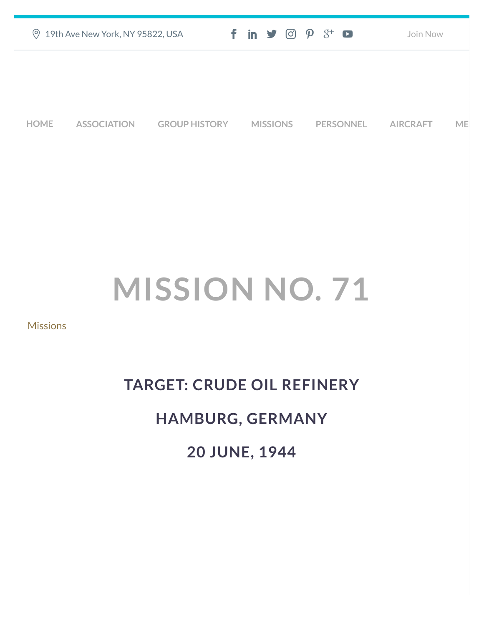|             | <b>9 19th Ave New York, NY 95822, USA</b> |                      | $f$ in $\blacktriangleright$ $\heartsuit$ $\varnothing$ $\varnothing$ $\dashv$ $\heartsuit$ |                  | Join Now        |           |
|-------------|-------------------------------------------|----------------------|---------------------------------------------------------------------------------------------|------------------|-----------------|-----------|
|             |                                           |                      |                                                                                             |                  |                 |           |
|             |                                           |                      |                                                                                             |                  |                 |           |
| <b>HOME</b> | <b>ASSOCIATION</b>                        | <b>GROUP HISTORY</b> | <b>MISSIONS</b>                                                                             | <b>PERSONNEL</b> | <b>AIRCRAFT</b> | <b>ME</b> |

## **MISSION NO. 71**

[Missions](https://457thbombgroupassoc.org/category/missions/)

## **TARGET: CRUDE OIL REFINERY HAMBURG, GERMANY 20 JUNE, 1944**